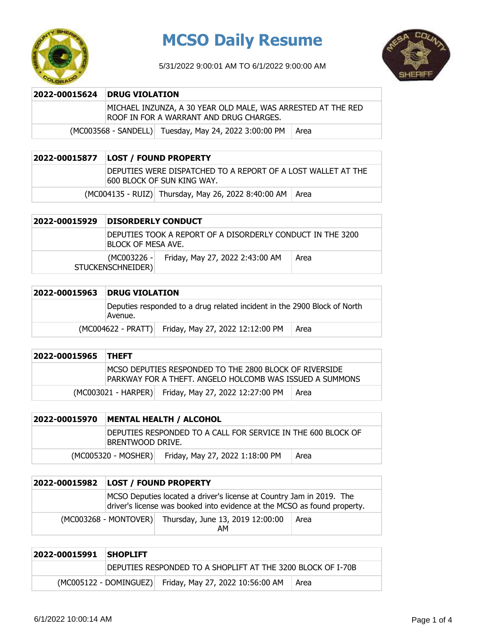

# **MCSO Daily Resume**

5/31/2022 9:00:01 AM TO 6/1/2022 9:00:00 AM



### **2022-00015624 DRUG VIOLATION**

MICHAEL INZUNZA, A 30 YEAR OLD MALE, WAS ARRESTED AT THE RED ROOF IN FOR A WARRANT AND DRUG CHARGES.

 $(MCO03568 - SAMDEL)$  Tuesday, May 24, 2022 3:00:00 PM Area

## **2022-00015877 LOST / FOUND PROPERTY**

DEPUTIES WERE DISPATCHED TO A REPORT OF A LOST WALLET AT THE 600 BLOCK OF SUN KING WAY.

 $(MCO04135 - RUIZ)$  Thursday, May 26, 2022 8:40:00 AM Area

| 2022-00015929 | <b>DISORDERLY CONDUCT</b> |                                                            |      |
|---------------|---------------------------|------------------------------------------------------------|------|
|               | IBLOCK OF MESA AVE.       | DEPUTIES TOOK A REPORT OF A DISORDERLY CONDUCT IN THE 3200 |      |
|               | STUCKENSCHNEIDER)         | (MC003226 - Friday, May 27, 2022 2:43:00 AM                | Area |

| 2022-00015963 | <b>DRUG VIOLATION</b>                                                               |  |
|---------------|-------------------------------------------------------------------------------------|--|
|               | Deputies responded to a drug related incident in the 2900 Block of North<br>Avenue. |  |
|               | (MC004622 - PRATT) Friday, May 27, 2022 12:12:00 PM<br>Area                         |  |

| 2022-00015965 THEFT |                                                                                                                     |      |
|---------------------|---------------------------------------------------------------------------------------------------------------------|------|
|                     | IMCSO DEPUTIES RESPONDED TO THE 2800 BLOCK OF RIVERSIDE<br>PARKWAY FOR A THEFT. ANGELO HOLCOMB WAS ISSUED A SUMMONS |      |
|                     | (MC003021 - HARPER) Friday, May 27, 2022 12:27:00 PM                                                                | Area |

| 2022-00015970 |                     | MENTAL HEALTH / ALCOHOL                                       |      |
|---------------|---------------------|---------------------------------------------------------------|------|
|               | BRENTWOOD DRIVE.    | IDEPUTIES RESPONDED TO A CALL FOR SERVICE IN THE 600 BLOCK OF |      |
|               | (MC005320 - MOSHER) | Friday, May 27, 2022 1:18:00 PM                               | Area |

| 2022-00015982   LOST / FOUND PROPERTY |                                                                                                                                                  |      |
|---------------------------------------|--------------------------------------------------------------------------------------------------------------------------------------------------|------|
|                                       | MCSO Deputies located a driver's license at Country Jam in 2019. The<br>driver's license was booked into evidence at the MCSO as found property. |      |
|                                       | (MC003268 - MONTOVER) Thursday, June 13, 2019 12:00:00<br>AM                                                                                     | Area |

| 2022-00015991 SHOPLIFT |                                                             |      |
|------------------------|-------------------------------------------------------------|------|
|                        | DEPUTIES RESPONDED TO A SHOPLIFT AT THE 3200 BLOCK OF I-70B |      |
|                        | (MC005122 - DOMINGUEZ) Friday, May 27, 2022 10:56:00 AM     | Area |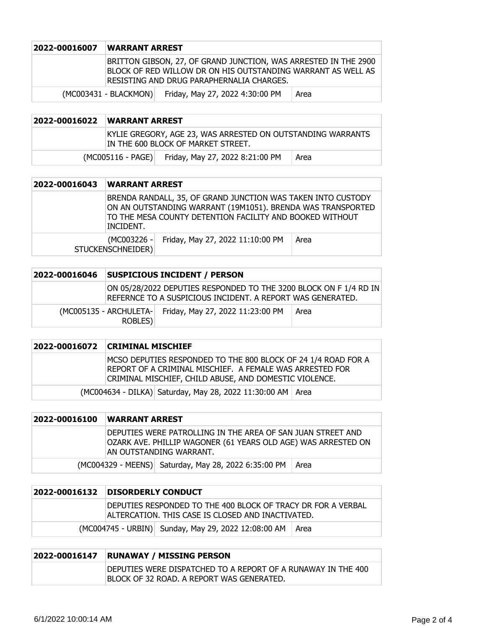| 2022-00016007 | WARRANT ARREST                                                                                                                                                                |
|---------------|-------------------------------------------------------------------------------------------------------------------------------------------------------------------------------|
|               | BRITTON GIBSON, 27, OF GRAND JUNCTION, WAS ARRESTED IN THE 2900<br>BLOCK OF RED WILLOW DR ON HIS OUTSTANDING WARRANT AS WELL AS<br>IRESISTING AND DRUG PARAPHERNALIA CHARGES. |
|               | Friday, May 27, 2022 4:30:00 PM<br>(MC003431 - BLACKMON)<br>Area                                                                                                              |

| 2022-00016022 | <b>WARRANT ARREST</b> |                                                                                                   |      |
|---------------|-----------------------|---------------------------------------------------------------------------------------------------|------|
|               |                       | KYLIE GREGORY, AGE 23, WAS ARRESTED ON OUTSTANDING WARRANTS<br>IN THE 600 BLOCK OF MARKET STREET. |      |
|               |                       | (MC005116 - PAGE) Friday, May 27, 2022 8:21:00 PM                                                 | Area |

| 2022-00016043 | <b>WARRANT ARREST</b>                                                                                                                                                                                       |                                              |      |
|---------------|-------------------------------------------------------------------------------------------------------------------------------------------------------------------------------------------------------------|----------------------------------------------|------|
|               | BRENDA RANDALL, 35, OF GRAND JUNCTION WAS TAKEN INTO CUSTODY<br>ON AN OUTSTANDING WARRANT (19M1051). BRENDA WAS TRANSPORTED<br>TO THE MESA COUNTY DETENTION FACILITY AND BOOKED WITHOUT<br><b>INCIDENT.</b> |                                              |      |
|               | STUCKENSCHNEIDER)                                                                                                                                                                                           | (MC003226 - Friday, May 27, 2022 11:10:00 PM | Area |

| 2022-00016046 |                                    | SUSPICIOUS INCIDENT / PERSON                                                                                                    |      |
|---------------|------------------------------------|---------------------------------------------------------------------------------------------------------------------------------|------|
|               |                                    | ON 05/28/2022 DEPUTIES RESPONDED TO THE 3200 BLOCK ON F 1/4 RD IN<br>REFERNCE TO A SUSPICIOUS INCIDENT. A REPORT WAS GENERATED. |      |
|               | (MC005135 - ARCHULETA-)<br>ROBLES) | Friday, May 27, 2022 11:23:00 PM                                                                                                | Area |

|  | 2022-00016072 CRIMINAL MISCHIEF                                                                                                                                                     |
|--|-------------------------------------------------------------------------------------------------------------------------------------------------------------------------------------|
|  | MCSO DEPUTIES RESPONDED TO THE 800 BLOCK OF 24 1/4 ROAD FOR A<br>REPORT OF A CRIMINAL MISCHIEF. A FEMALE WAS ARRESTED FOR<br>CRIMINAL MISCHIEF, CHILD ABUSE, AND DOMESTIC VIOLENCE. |
|  | (MC004634 - DILKA) Saturday, May 28, 2022 11:30:00 AM Area                                                                                                                          |

| 2022-00016100 | <b>WARRANT ARREST</b>                                                                                                                                   |
|---------------|---------------------------------------------------------------------------------------------------------------------------------------------------------|
|               | DEPUTIES WERE PATROLLING IN THE AREA OF SAN JUAN STREET AND<br>OZARK AVE. PHILLIP WAGONER (61 YEARS OLD AGE) WAS ARRESTED ON<br>AN OUTSTANDING WARRANT. |
|               | (MC004329 - MEENS) Saturday, May 28, 2022 6:35:00 PM<br>Area                                                                                            |

| 2022-00016132 DISORDERLY CONDUCT                                                                                   |      |
|--------------------------------------------------------------------------------------------------------------------|------|
| IDEPUTIES RESPONDED TO THE 400 BLOCK OF TRACY DR FOR A VERBAL<br>ALTERCATION. THIS CASE IS CLOSED AND INACTIVATED. |      |
| (MC004745 - URBIN) Sunday, May 29, 2022 12:08:00 AM                                                                | Area |

## **2022-00016147 RUNAWAY / MISSING PERSON** DEPUTIES WERE DISPATCHED TO A REPORT OF A RUNAWAY IN THE 400 BLOCK OF 32 ROAD. A REPORT WAS GENERATED.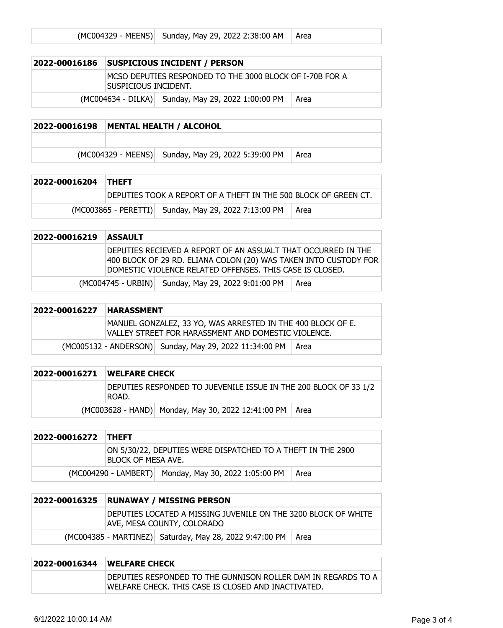| 2022-00016186 |                                                                                   | <b>SUSPICIOUS INCIDENT / PERSON</b>                |      |
|---------------|-----------------------------------------------------------------------------------|----------------------------------------------------|------|
|               | IMCSO DEPUTIES RESPONDED TO THE 3000 BLOCK OF I-70B FOR A<br>Suspicious incident. |                                                    |      |
|               |                                                                                   | (MC004634 - DILKA) Sunday, May 29, 2022 1:00:00 PM | Area |
|               |                                                                                   |                                                    |      |

## **2022-00016198 MENTAL HEALTH / ALCOHOL**

 $(MCOO4329 - MEENS)$  Sunday, May 29, 2022 5:39:00 PM  $\vert$  Area

| 2022-00016204 THEFT |  |                                                                 |        |
|---------------------|--|-----------------------------------------------------------------|--------|
|                     |  | DEPUTIES TOOK A REPORT OF A THEFT IN THE 500 BLOCK OF GREEN CT. |        |
|                     |  | (MC003865 - PERETTI) Sunday, May 29, 2022 7:13:00 PM            | l Area |

## **2022-00016219 ASSAULT**

DEPUTIES RECIEVED A REPORT OF AN ASSUALT THAT OCCURRED IN THE 400 BLOCK OF 29 RD. ELIANA COLON (20) WAS TAKEN INTO CUSTODY FOR DOMESTIC VIOLENCE RELATED OFFENSES. THIS CASE IS CLOSED.

| (MC004745 - URBIN) Sunday, May 29, 2022 9:01:00 PM   Area |  |
|-----------------------------------------------------------|--|
|                                                           |  |

| 2022-00016227 | <b>HARASSMENT</b> |                                                                                                                    |        |
|---------------|-------------------|--------------------------------------------------------------------------------------------------------------------|--------|
|               |                   | MANUEL GONZALEZ, 33 YO, WAS ARRESTED IN THE 400 BLOCK OF E.<br>VALLEY STREET FOR HARASSMENT AND DOMESTIC VIOLENCE. |        |
|               |                   | (MC005132 - ANDERSON) Sunday, May 29, 2022 11:34:00 PM                                                             | l Area |

| 2022-00016271 | <b>IWELFARE CHECK</b>                                                      |  |  |
|---------------|----------------------------------------------------------------------------|--|--|
|               | DEPUTIES RESPONDED TO JUEVENILE ISSUE IN THE 200 BLOCK OF 33 1/2<br>IROAD. |  |  |
|               | (MC003628 - HAND) Monday, May 30, 2022 12:41:00 PM   Area                  |  |  |

| 2022-00016272 THEFT |                                                                                          |                                                      |        |
|---------------------|------------------------------------------------------------------------------------------|------------------------------------------------------|--------|
|                     | ON 5/30/22, DEPUTIES WERE DISPATCHED TO A THEFT IN THE 2900<br><b>BLOCK OF MESA AVE.</b> |                                                      |        |
|                     |                                                                                          | (MC004290 - LAMBERT) Monday, May 30, 2022 1:05:00 PM | l Area |

| 2022-00016325 | <b>RUNAWAY / MISSING PERSON</b>                                                              |                                                         |        |
|---------------|----------------------------------------------------------------------------------------------|---------------------------------------------------------|--------|
|               | DEPUTIES LOCATED A MISSING JUVENILE ON THE 3200 BLOCK OF WHITE<br>AVE, MESA COUNTY, COLORADO |                                                         |        |
|               |                                                                                              | (MC004385 - MARTINEZ) Saturday, May 28, 2022 9:47:00 PM | l Area |

| 2022-00016344 | <b>IWELFARE CHECK</b>                                                                                                         |  |
|---------------|-------------------------------------------------------------------------------------------------------------------------------|--|
|               | <b>IDEPUTIES RESPONDED TO THE GUNNISON ROLLER DAM IN REGARDS TO A</b><br> WELFARE CHECK. THIS CASE IS CLOSED AND INACTIVATED. |  |